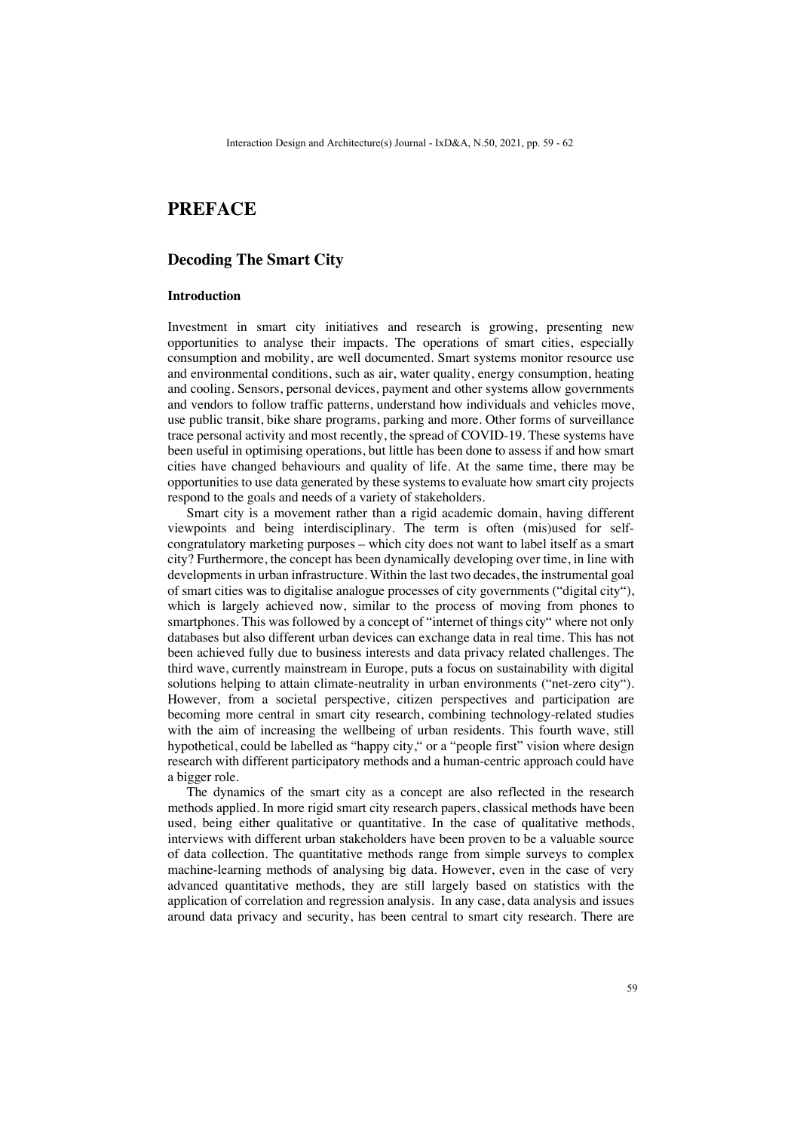# **PREFACE**

# **Decoding The Smart City**

#### **Introduction**

Investment in smart city initiatives and research is growing, presenting new opportunities to analyse their impacts. The operations of smart cities, especially consumption and mobility, are well documented. Smart systems monitor resource use and environmental conditions, such as air, water quality, energy consumption, heating and cooling. Sensors, personal devices, payment and other systems allow governments and vendors to follow traffic patterns, understand how individuals and vehicles move, use public transit, bike share programs, parking and more. Other forms of surveillance trace personal activity and most recently, the spread of COVID-19. These systems have been useful in optimising operations, but little has been done to assess if and how smart cities have changed behaviours and quality of life. At the same time, there may be opportunities to use data generated by these systems to evaluate how smart city projects respond to the goals and needs of a variety of stakeholders.

Smart city is a movement rather than a rigid academic domain, having different viewpoints and being interdisciplinary. The term is often (mis)used for selfcongratulatory marketing purposes – which city does not want to label itself as a smart city? Furthermore, the concept has been dynamically developing over time, in line with developments in urban infrastructure. Within the last two decades, the instrumental goal of smart cities was to digitalise analogue processes of city governments ("digital city"), which is largely achieved now, similar to the process of moving from phones to smartphones. This was followed by a concept of "internet of things city" where not only databases but also different urban devices can exchange data in real time. This has not been achieved fully due to business interests and data privacy related challenges. The third wave, currently mainstream in Europe, puts a focus on sustainability with digital solutions helping to attain climate-neutrality in urban environments ("net-zero city"). However, from a societal perspective, citizen perspectives and participation are becoming more central in smart city research, combining technology-related studies with the aim of increasing the wellbeing of urban residents. This fourth wave, still hypothetical, could be labelled as "happy city," or a "people first" vision where design research with different participatory methods and a human-centric approach could have a bigger role.

The dynamics of the smart city as a concept are also reflected in the research methods applied. In more rigid smart city research papers, classical methods have been used, being either qualitative or quantitative. In the case of qualitative methods, interviews with different urban stakeholders have been proven to be a valuable source of data collection. The quantitative methods range from simple surveys to complex machine-learning methods of analysing big data. However, even in the case of very advanced quantitative methods, they are still largely based on statistics with the application of correlation and regression analysis. In any case, data analysis and issues around data privacy and security, has been central to smart city research. There are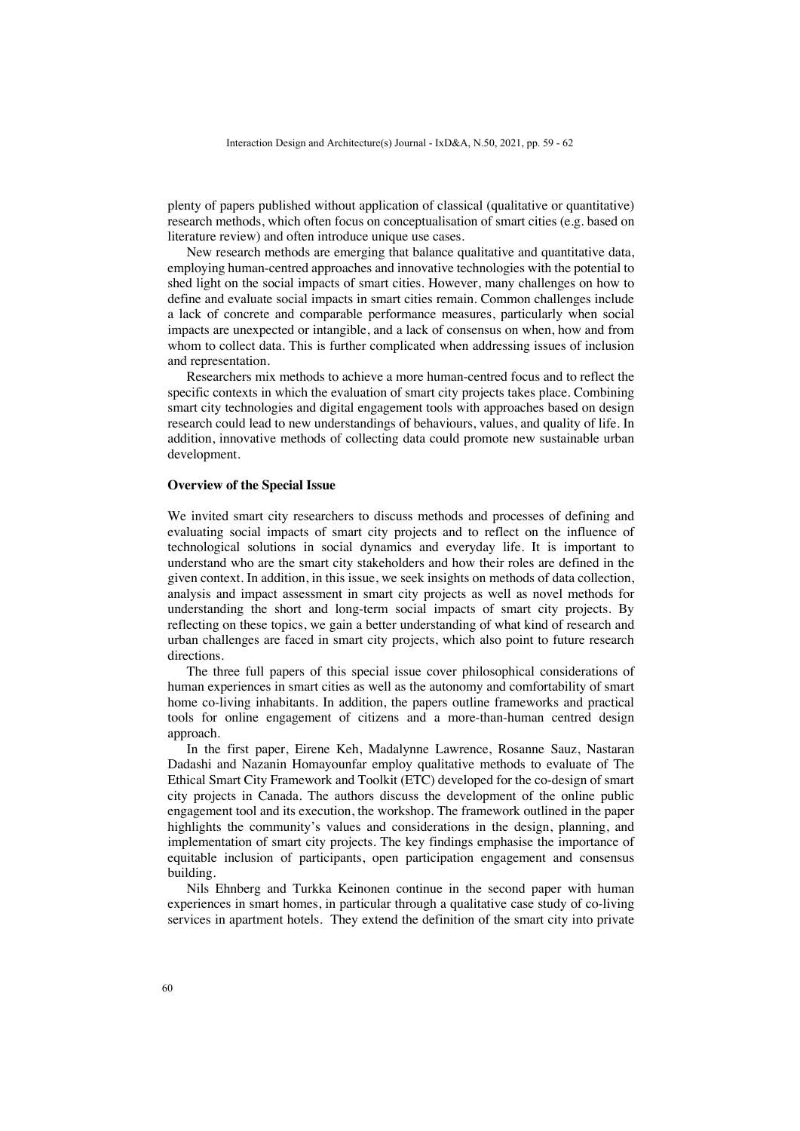plenty of papers published without application of classical (qualitative or quantitative) research methods, which often focus on conceptualisation of smart cities (e.g. based on literature review) and often introduce unique use cases.

New research methods are emerging that balance qualitative and quantitative data, employing human-centred approaches and innovative technologies with the potential to shed light on the social impacts of smart cities. However, many challenges on how to define and evaluate social impacts in smart cities remain. Common challenges include a lack of concrete and comparable performance measures, particularly when social impacts are unexpected or intangible, and a lack of consensus on when, how and from whom to collect data. This is further complicated when addressing issues of inclusion and representation.

Researchers mix methods to achieve a more human-centred focus and to reflect the specific contexts in which the evaluation of smart city projects takes place. Combining smart city technologies and digital engagement tools with approaches based on design research could lead to new understandings of behaviours, values, and quality of life. In addition, innovative methods of collecting data could promote new sustainable urban development.

#### **Overview of the Special Issue**

We invited smart city researchers to discuss methods and processes of defining and evaluating social impacts of smart city projects and to reflect on the influence of technological solutions in social dynamics and everyday life. It is important to understand who are the smart city stakeholders and how their roles are defined in the given context. In addition, in this issue, we seek insights on methods of data collection, analysis and impact assessment in smart city projects as well as novel methods for understanding the short and long-term social impacts of smart city projects. By reflecting on these topics, we gain a better understanding of what kind of research and urban challenges are faced in smart city projects, which also point to future research directions.

The three full papers of this special issue cover philosophical considerations of human experiences in smart cities as well as the autonomy and comfortability of smart home co-living inhabitants. In addition, the papers outline frameworks and practical tools for online engagement of citizens and a more-than-human centred design approach.

In the first paper, Eirene Keh, Madalynne Lawrence, Rosanne Sauz, Nastaran Dadashi and Nazanin Homayounfar employ qualitative methods to evaluate of The Ethical Smart City Framework and Toolkit (ETC) developed for the co-design of smart city projects in Canada. The authors discuss the development of the online public engagement tool and its execution, the workshop. The framework outlined in the paper highlights the community's values and considerations in the design, planning, and implementation of smart city projects. The key findings emphasise the importance of equitable inclusion of participants, open participation engagement and consensus building.

Nils Ehnberg and Turkka Keinonen continue in the second paper with human experiences in smart homes, in particular through a qualitative case study of co-living services in apartment hotels. They extend the definition of the smart city into private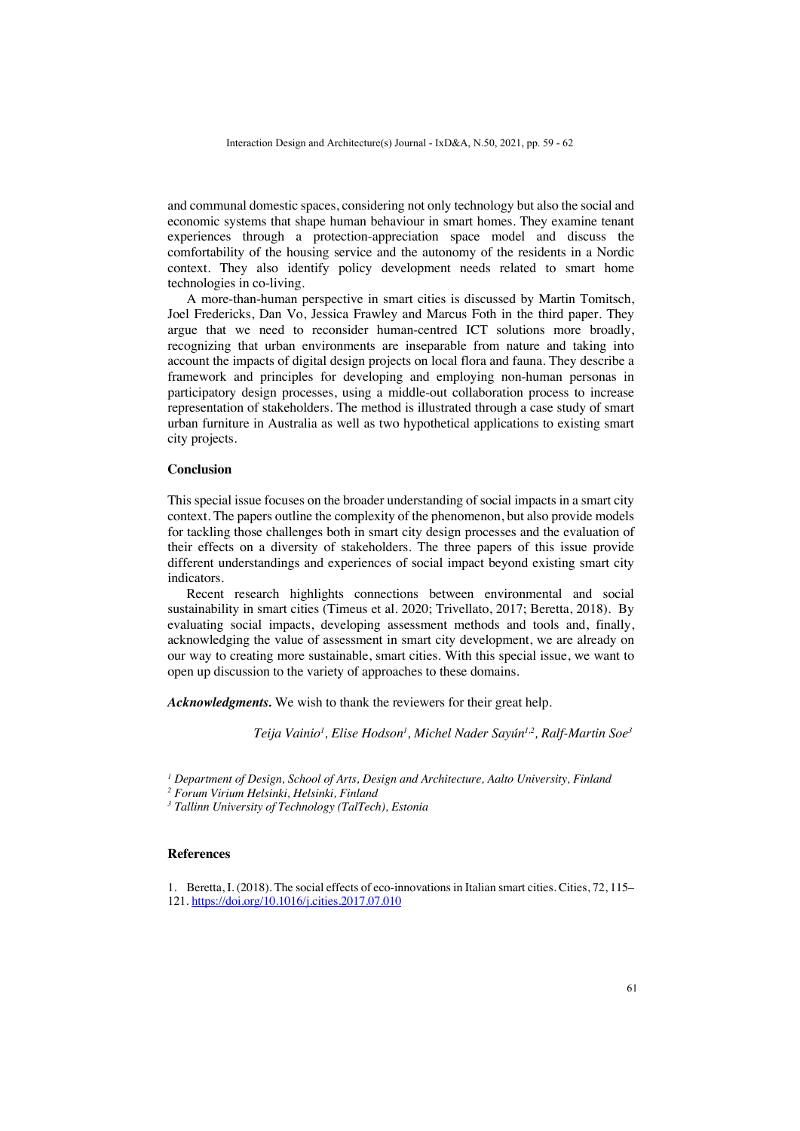and communal domestic spaces, considering not only technology but also the social and economic systems that shape human behaviour in smart homes. They examine tenant experiences through a protection-appreciation space model and discuss the comfortability of the housing service and the autonomy of the residents in a Nordic context. They also identify policy development needs related to smart home technologies in co-living.

A more-than-human perspective in smart cities is discussed by Martin Tomitsch, Joel Fredericks, Dan Vo, Jessica Frawley and Marcus Foth in the third paper. They argue that we need to reconsider human-centred ICT solutions more broadly, recognizing that urban environments are inseparable from nature and taking into account the impacts of digital design projects on local flora and fauna. They describe a framework and principles for developing and employing non-human personas in participatory design processes, using a middle-out collaboration process to increase representation of stakeholders. The method is illustrated through a case study of smart urban furniture in Australia as well as two hypothetical applications to existing smart city projects.

## **Conclusion**

This special issue focuses on the broader understanding of social impacts in a smart city context. The papers outline the complexity of the phenomenon, but also provide models for tackling those challenges both in smart city design processes and the evaluation of their effects on a diversity of stakeholders. The three papers of this issue provide different understandings and experiences of social impact beyond existing smart city indicators.

Recent research highlights connections between environmental and social sustainability in smart cities (Timeus et al. 2020; Trivellato, 2017; Beretta, 2018). By evaluating social impacts, developing assessment methods and tools and, finally, acknowledging the value of assessment in smart city development, we are already on our way to creating more sustainable, smart cities. With this special issue, we want to open up discussion to the variety of approaches to these domains.

*Acknowledgments.* We wish to thank the reviewers for their great help.

*Teija Vainio1 , Elise Hodson1 , Michel Nader Sayún1,2, Ralf-Martin Soe3*

*<sup>1</sup> Department of Design, School of Arts, Design and Architecture, Aalto University, Finland*

*2 Forum Virium Helsinki, Helsinki, Finland*

*3 Tallinn University of Technology (TalTech), Estonia*

## **References**

1. Beretta, I. (2018). The social effects of eco-innovations in Italian smart cities. Cities, 72, 115– 121. https://doi.org/10.1016/j.cities.2017.07.010